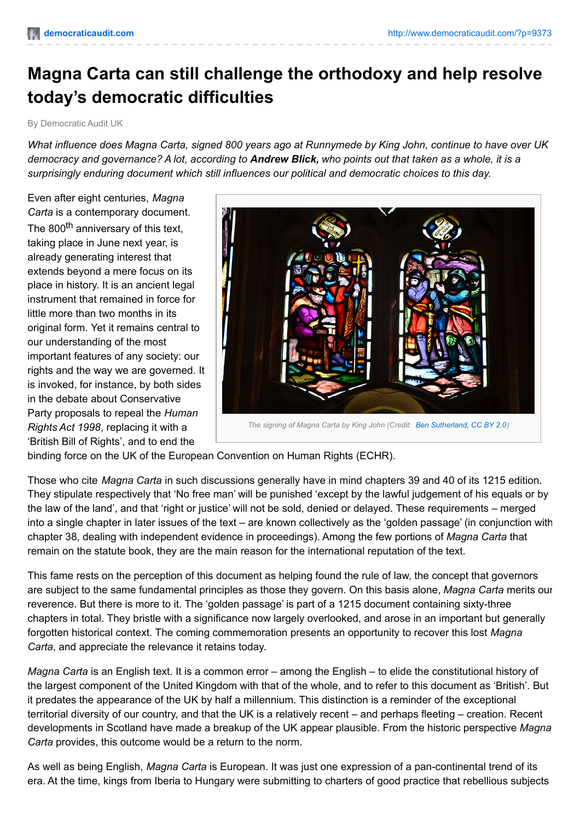## **Magna Carta can still challenge the orthodoxy and help resolve today's democratic difficulties**

By Democratic Audit UK

What influence does Magna Carta, signed 800 years ago at Runnymede by King John, continue to have over UK democracy and governance? A lot, according to **Andrew Blick,** who points out that taken as a whole, it is a *surprisingly enduring document which still influences our political and democratic choices to this day.*

Even after eight centuries, *Magna Carta* is a contemporary document. The 800<sup>th</sup> anniversary of this text, taking place in June next year, is already generating interest that extends beyond a mere focus on its place in history. It is an ancient legal instrument that remained in force for little more than two months in its original form. Yet it remains central to our understanding of the most important features of any society: our rights and the way we are governed. It is invoked, for instance, by both sides in the debate about Conservative Party proposals to repeal the *Human Rights Act 1998*, replacing it with a 'British Bill of Rights', and to end the



binding force on the UK of the European Convention on Human Rights (ECHR).

Those who cite *Magna Carta* in such discussions generally have in mind chapters 39 and 40 of its 1215 edition. They stipulate respectively that 'No free man' will be punished 'except by the lawful judgement of his equals or by the law of the land', and that 'right or justice' will not be sold, denied or delayed. These requirements – merged into a single chapter in later issues of the text – are known collectively as the 'golden passage' (in conjunction with chapter 38, dealing with independent evidence in proceedings). Among the few portions of *Magna Carta* that remain on the statute book, they are the main reason for the international reputation of the text.

This fame rests on the perception of this document as helping found the rule of law, the concept that governors are subject to the same fundamental principles as those they govern. On this basis alone, *Magna Carta* merits our reverence. But there is more to it. The 'golden passage' is part of a 1215 document containing sixty-three chapters in total. They bristle with a significance now largely overlooked, and arose in an important but generally forgotten historical context. The coming commemoration presents an opportunity to recover this lost *Magna Carta*, and appreciate the relevance it retains today.

*Magna Carta* is an English text. It is a common error – among the English – to elide the constitutional history of the largest component of the United Kingdom with that of the whole, and to refer to this document as 'British'. But it predates the appearance of the UK by half a millennium. This distinction is a reminder of the exceptional territorial diversity of our country, and that the UK is a relatively recent – and perhaps fleeting – creation. Recent developments in Scotland have made a breakup of the UK appear plausible. From the historic perspective *Magna Carta* provides, this outcome would be a return to the norm.

As well as being English, *Magna Carta* is European. It was just one expression of a pan-continental trend of its era. At the time, kings from Iberia to Hungary were submitting to charters of good practice that rebellious subjects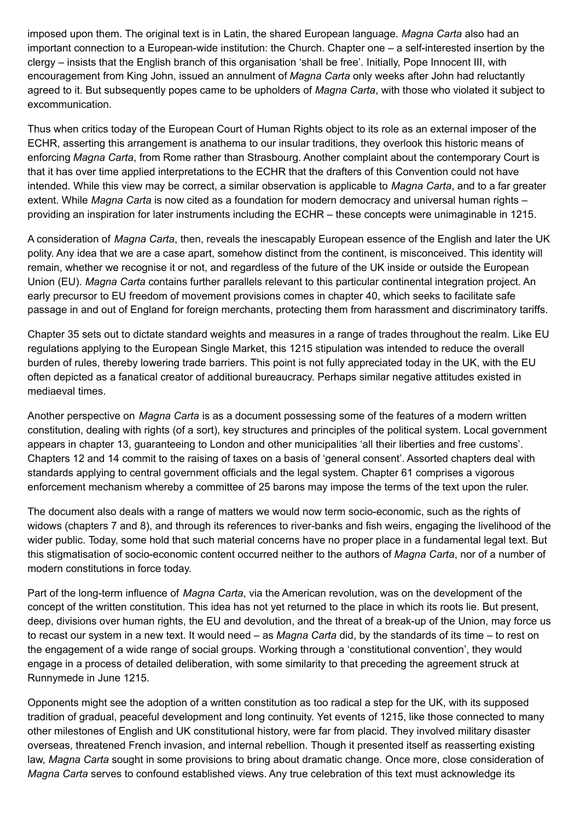imposed upon them. The original text is in Latin, the shared European language. *Magna Carta* also had an important connection to a European-wide institution: the Church. Chapter one – a self-interested insertion by the clergy – insists that the English branch of this organisation 'shall be free'. Initially, Pope Innocent III, with encouragement from King John, issued an annulment of *Magna Carta* only weeks after John had reluctantly agreed to it. But subsequently popes came to be upholders of *Magna Carta*, with those who violated it subject to excommunication.

Thus when critics today of the European Court of Human Rights object to its role as an external imposer of the ECHR, asserting this arrangement is anathema to our insular traditions, they overlook this historic means of enforcing *Magna Carta*, from Rome rather than Strasbourg. Another complaint about the contemporary Court is that it has over time applied interpretations to the ECHR that the drafters of this Convention could not have intended. While this view may be correct, a similar observation is applicable to *Magna Carta*, and to a far greater extent. While *Magna Carta* is now cited as a foundation for modern democracy and universal human rights – providing an inspiration for later instruments including the ECHR – these concepts were unimaginable in 1215.

A consideration of *Magna Carta*, then, reveals the inescapably European essence of the English and later the UK polity. Any idea that we are a case apart, somehow distinct from the continent, is misconceived. This identity will remain, whether we recognise it or not, and regardless of the future of the UK inside or outside the European Union (EU). *Magna Carta* contains further parallels relevant to this particular continental integration project. An early precursor to EU freedom of movement provisions comes in chapter 40, which seeks to facilitate safe passage in and out of England for foreign merchants, protecting them from harassment and discriminatory tariffs.

Chapter 35 sets out to dictate standard weights and measures in a range of trades throughout the realm. Like EU regulations applying to the European Single Market, this 1215 stipulation was intended to reduce the overall burden of rules, thereby lowering trade barriers. This point is not fully appreciated today in the UK, with the EU often depicted as a fanatical creator of additional bureaucracy. Perhaps similar negative attitudes existed in mediaeval times.

Another perspective on *Magna Carta* is as a document possessing some of the features of a modern written constitution, dealing with rights (of a sort), key structures and principles of the political system. Local government appears in chapter 13, guaranteeing to London and other municipalities 'all their liberties and free customs'. Chapters 12 and 14 commit to the raising of taxes on a basis of 'general consent'. Assorted chapters deal with standards applying to central government officials and the legal system. Chapter 61 comprises a vigorous enforcement mechanism whereby a committee of 25 barons may impose the terms of the text upon the ruler.

The document also deals with a range of matters we would now term socio-economic, such as the rights of widows (chapters 7 and 8), and through its references to river-banks and fish weirs, engaging the livelihood of the wider public. Today, some hold that such material concerns have no proper place in a fundamental legal text. But this stigmatisation of socio-economic content occurred neither to the authors of *Magna Carta*, nor of a number of modern constitutions in force today.

Part of the long-term influence of *Magna Carta*, via the American revolution, was on the development of the concept of the written constitution. This idea has not yet returned to the place in which its roots lie. But present, deep, divisions over human rights, the EU and devolution, and the threat of a break-up of the Union, may force us to recast our system in a new text. It would need – as *Magna Carta* did, by the standards of its time – to rest on the engagement of a wide range of social groups. Working through a 'constitutional convention', they would engage in a process of detailed deliberation, with some similarity to that preceding the agreement struck at Runnymede in June 1215.

Opponents might see the adoption of a written constitution as too radical a step for the UK, with its supposed tradition of gradual, peaceful development and long continuity. Yet events of 1215, like those connected to many other milestones of English and UK constitutional history, were far from placid. They involved military disaster overseas, threatened French invasion, and internal rebellion. Though it presented itself as reasserting existing law, *Magna Carta* sought in some provisions to bring about dramatic change. Once more, close consideration of *Magna Carta* serves to confound established views. Any true celebration of this text must acknowledge its